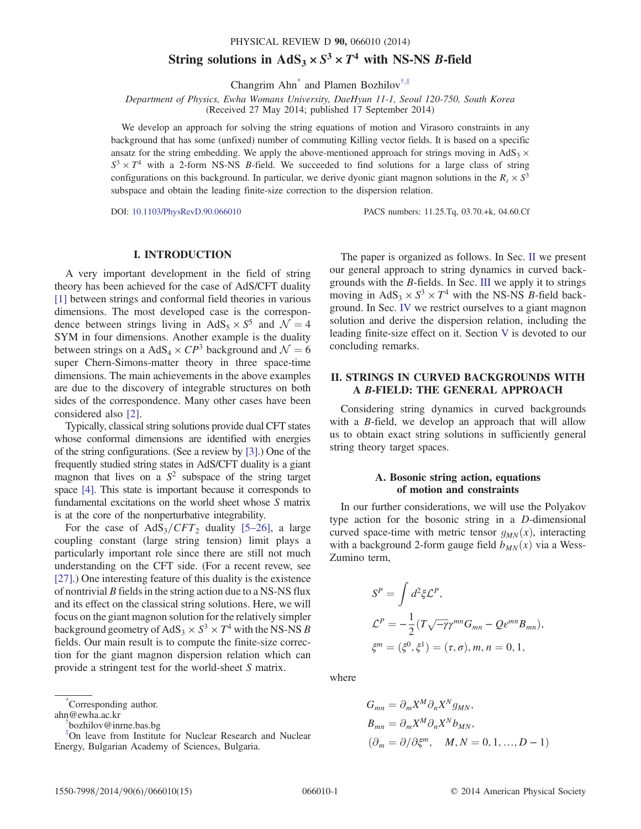# String solutions in  $AdS_3 \times S^3 \times T^4$  with NS-NS *B*-field

Changrim Ahn<sup>[\\*](#page-0-0)</sup> and Plamen Bozhilov<sup>†,[‡](#page-0-1)</sup>

<span id="page-0-3"></span>Department of Physics, Ewha Womans University, DaeHyun 11-1, Seoul 120-750, South Korea (Received 27 May 2014; published 17 September 2014)

We develop an approach for solving the string equations of motion and Virasoro constraints in any background that has some (unfixed) number of commuting Killing vector fields. It is based on a specific ansatz for the string embedding. We apply the above-mentioned approach for strings moving in  $AdS_3 \times$  $S^3 \times T^4$  with a 2-form NS-NS *B*-field. We succeeded to find solutions for a large class of string configurations on this background. In particular, we derive dyonic giant magnon solutions in the  $R_t \times S^3$ subspace and obtain the leading finite-size correction to the dispersion relation.

DOI: [10.1103/PhysRevD.90.066010](http://dx.doi.org/10.1103/PhysRevD.90.066010) PACS numbers: 11.25.Tq, 03.70.+k, 04.60.Cf

## I. INTRODUCTION

A very important development in the field of string theory has been achieved for the case of AdS/CFT duality [\[1\]](#page-13-0) between strings and conformal field theories in various dimensions. The most developed case is the correspondence between strings living in AdS<sub>5</sub>  $\times$  S<sup>5</sup> and  $\mathcal{N} = 4$ SYM in four dimensions. Another example is the duality between strings on a AdS<sub>4</sub>  $\times CP^3$  background and  $\mathcal{N} = 6$ super Chern-Simons-matter theory in three space-time dimensions. The main achievements in the above examples are due to the discovery of integrable structures on both sides of the correspondence. Many other cases have been considered also [\[2\]](#page-13-1).

Typically, classical string solutions provide dual CFT states whose conformal dimensions are identified with energies of the string configurations. (See a review by [\[3\]](#page-13-2).) One of the frequently studied string states in AdS/CFT duality is a giant magnon that lives on a  $S^2$  subspace of the string target space [\[4\].](#page-13-3) This state is important because it corresponds to fundamental excitations on the world sheet whose S matrix is at the core of the nonperturbative integrability.

For the case of  $AdS_3/CFT_2$  duality [5–[26\]](#page-13-4), a large coupling constant (large string tension) limit plays a particularly important role since there are still not much understanding on the CFT side. (For a recent revew, see [\[27\]](#page-14-0).) One interesting feature of this duality is the existence of nontrivial B fields in the string action due to a NS-NS flux and its effect on the classical string solutions. Here, we will focus on the giant magnon solution for the relatively simpler background geometry of AdS<sub>3</sub>  $\times$  S<sup>3</sup>  $\times$  T<sup>4</sup> with the NS-NS B fields. Our main result is to compute the finite-size correction for the giant magnon dispersion relation which can provide a stringent test for the world-sheet S matrix.

<span id="page-0-0"></span>[\\*](#page-0-3) Corresponding author.

<span id="page-0-1"></span>ahn@ewha.ac.kr

[†](#page-0-3) bozhilov@inrne.bas.bg

‡ On leave from Institute for Nuclear Research and Nuclear Energy, Bulgarian Academy of Sciences, Bulgaria.

The paper is organized as follows. In Sec. [II](#page-0-2) we present our general approach to string dynamics in curved backgrounds with the B-fields. In Sec. [III](#page-3-0) we apply it to strings moving in AdS<sub>3</sub>  $\times$  S<sup>3</sup>  $\times$  T<sup>4</sup> with the NS-NS *B*-field background. In Sec. [IV](#page-4-0) we restrict ourselves to a giant magnon solution and derive the dispersion relation, including the leading finite-size effect on it. Section [V](#page-9-0) is devoted to our concluding remarks.

# <span id="page-0-2"></span>II. STRINGS IN CURVED BACKGROUNDS WITH A B-FIELD: THE GENERAL APPROACH

Considering string dynamics in curved backgrounds with a *B*-field, we develop an approach that will allow us to obtain exact string solutions in sufficiently general string theory target spaces.

## A. Bosonic string action, equations of motion and constraints

In our further considerations, we will use the Polyakov type action for the bosonic string in a D-dimensional curved space-time with metric tensor  $g_{MN}(x)$ , interacting with a background 2-form gauge field  $b_{MN}(x)$  via a Wess-Zumino term,

$$
S^{P} = \int d^{2}\xi \mathcal{L}^{P},
$$
  
\n
$$
\mathcal{L}^{P} = -\frac{1}{2} (T \sqrt{-\gamma} \gamma^{mn} G_{mn} - Q \epsilon^{mn} B_{mn}),
$$
  
\n
$$
\xi^{m} = (\xi^{0}, \xi^{1}) = (\tau, \sigma), m, n = 0, 1,
$$

where

$$
G_{mn} = \partial_m X^M \partial_n X^N g_{MN},
$$
  
\n
$$
B_{mn} = \partial_m X^M \partial_n X^N b_{MN},
$$
  
\n
$$
(\partial_m = \partial/\partial \xi^m, \quad M, N = 0, 1, ..., D - 1)
$$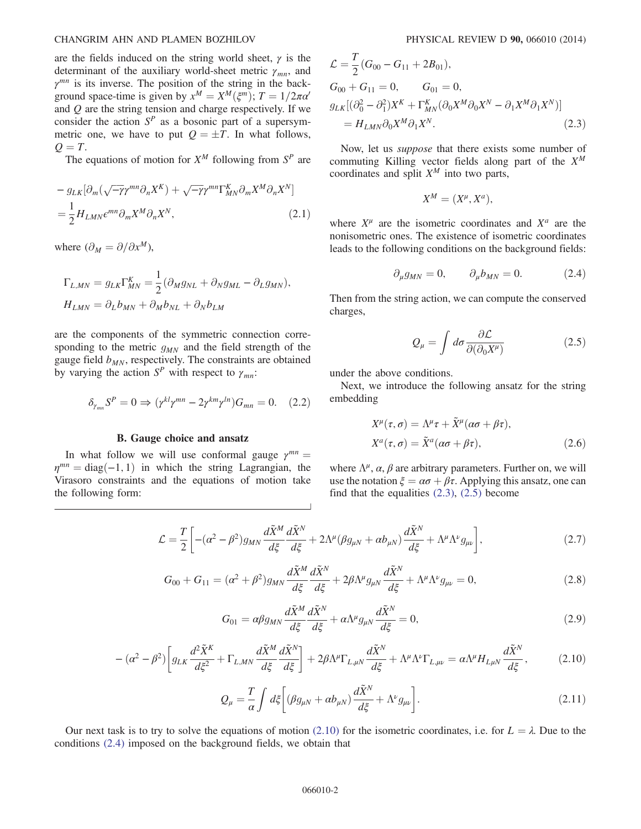are the fields induced on the string world sheet,  $\gamma$  is the determinant of the auxiliary world-sheet metric  $\gamma_{mn}$ , and  $\gamma^{mn}$  is its inverse. The position of the string in the background space-time is given by  $x^M = X^M(\xi^m)$ ;  $T = 1/2\pi\alpha'$ and  $Q$  are the string tension and charge respectively. If we consider the action  $S<sup>P</sup>$  as a bosonic part of a supersymmetric one, we have to put  $Q = \pm T$ . In what follows,  $Q = T$ .

The equations of motion for  $X^M$  following from  $S^P$  are

$$
- g_{LK} [\partial_m (\sqrt{-\gamma} \gamma^{mn} \partial_n X^K) + \sqrt{-\gamma} \gamma^{mn} \Gamma_{MN}^K \partial_m X^M \partial_n X^N]
$$
  
=  $\frac{1}{2} H_{LMN} \epsilon^{mn} \partial_m X^M \partial_n X^N,$  (2.1)

where  $(\partial_M = \partial/\partial x^M)$ ,

$$
\Gamma_{L,MN} = g_{LK}\Gamma_{MN}^K = \frac{1}{2}(\partial_M g_{NL} + \partial_N g_{ML} - \partial_L g_{MN}),
$$
  

$$
H_{LMN} = \partial_L b_{MN} + \partial_M b_{NL} + \partial_N b_{LM}
$$

are the components of the symmetric connection corresponding to the metric  $q_{MN}$  and the field strength of the gauge field  $b_{MN}$ , respectively. The constraints are obtained by varying the action  $S^P$  with respect to  $\gamma_{mn}$ :

$$
\delta_{\gamma_{mn}} S^P = 0 \Rightarrow (\gamma^{kl} \gamma^{mn} - 2\gamma^{km} \gamma^{ln}) G_{mn} = 0. \quad (2.2)
$$

#### B. Gauge choice and ansatz

<span id="page-1-0"></span>In what follow we will use conformal gauge  $\gamma^{mn} =$  $\eta^{mn} = \text{diag}(-1, 1)$  in which the string Lagrangian, the Virasoro constraints and the equations of motion take the following form:

$$
\mathcal{L} = \frac{T}{2} (G_{00} - G_{11} + 2B_{01}),
$$
  
\n
$$
G_{00} + G_{11} = 0, \qquad G_{01} = 0,
$$
  
\n
$$
g_{LK} [(\partial_0^2 - \partial_1^2) X^K + \Gamma^K_{MN} (\partial_0 X^M \partial_0 X^N - \partial_1 X^M \partial_1 X^N)]
$$
  
\n
$$
= H_{LMN} \partial_0 X^M \partial_1 X^N.
$$
\n(2.3)

Now, let us suppose that there exists some number of commuting Killing vector fields along part of the  $X^M$ coordinates and split  $X^M$  into two parts,

$$
X^M = (X^\mu, X^a),
$$

<span id="page-1-3"></span>where  $X^{\mu}$  are the isometric coordinates and  $X^{a}$  are the nonisometric ones. The existence of isometric coordinates leads to the following conditions on the background fields:

$$
\partial_{\mu}g_{MN}=0, \qquad \partial_{\mu}b_{MN}=0. \tag{2.4}
$$

<span id="page-1-1"></span>Then from the string action, we can compute the conserved charges,

$$
Q_{\mu} = \int d\sigma \frac{\partial \mathcal{L}}{\partial(\partial_0 X^{\mu})}
$$
 (2.5)

under the above conditions.

<span id="page-1-4"></span>Next, we introduce the following ansatz for the string embedding

$$
X^{\mu}(\tau,\sigma) = \Lambda^{\mu}\tau + \tilde{X}^{\mu}(\alpha\sigma + \beta\tau),
$$
  
\n
$$
X^{a}(\tau,\sigma) = \tilde{X}^{a}(\alpha\sigma + \beta\tau),
$$
\n(2.6)

where  $\Lambda^{\mu}$ ,  $\alpha$ ,  $\beta$  are arbitrary parameters. Further on, we will use the notation  $\xi = \alpha \sigma + \beta \tau$ . Applying this ansatz, one can find that the equalities  $(2.3)$ ,  $(2.5)$  become

$$
\mathcal{L} = \frac{T}{2} \left[ - (\alpha^2 - \beta^2) g_{MN} \frac{d\tilde{X}^M}{d\xi} \frac{d\tilde{X}^N}{d\xi} + 2\Lambda^\mu (\beta g_{\mu N} + \alpha b_{\mu N}) \frac{d\tilde{X}^N}{d\xi} + \Lambda^\mu \Lambda^\nu g_{\mu\nu} \right],\tag{2.7}
$$

$$
G_{00} + G_{11} = (\alpha^2 + \beta^2) g_{MN} \frac{d\tilde{X}^M}{d\xi} \frac{d\tilde{X}^N}{d\xi} + 2\beta \Lambda^\mu g_{\mu N} \frac{d\tilde{X}^N}{d\xi} + \Lambda^\mu \Lambda^\nu g_{\mu\nu} = 0, \tag{2.8}
$$

$$
G_{01} = \alpha \beta g_{MN} \frac{d\tilde{X}^M}{d\xi} \frac{d\tilde{X}^N}{d\xi} + \alpha \Lambda^\mu g_{\mu N} \frac{d\tilde{X}^N}{d\xi} = 0, \qquad (2.9)
$$

<span id="page-1-6"></span><span id="page-1-5"></span><span id="page-1-2"></span>
$$
- (\alpha^2 - \beta^2) \left[ g_{LK} \frac{d^2 \tilde{X}^K}{d \xi^2} + \Gamma_{L,MN} \frac{d \tilde{X}^M}{d \xi} \frac{d \tilde{X}^N}{d \xi} \right] + 2 \beta \Lambda^\mu \Gamma_{L,\mu N} \frac{d \tilde{X}^N}{d \xi} + \Lambda^\mu \Lambda^\nu \Gamma_{L,\mu\nu} = \alpha \Lambda^\mu H_{L\mu N} \frac{d \tilde{X}^N}{d \xi}, \tag{2.10}
$$

$$
Q_{\mu} = \frac{T}{\alpha} \int d\xi \bigg[ (\beta g_{\mu N} + \alpha b_{\mu N}) \frac{d\tilde{X}^{N}}{d\xi} + \Lambda^{\nu} g_{\mu\nu} \bigg]. \tag{2.11}
$$

<span id="page-1-7"></span>Our next task is to try to solve the equations of motion [\(2.10\)](#page-1-2) for the isometric coordinates, i.e. for  $L = \lambda$ . Due to the conditions [\(2.4\)](#page-1-3) imposed on the background fields, we obtain that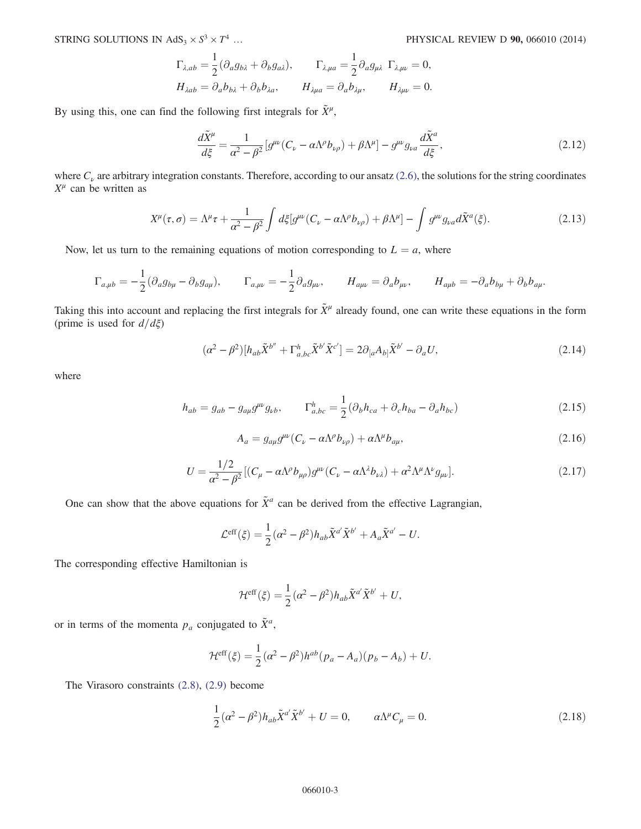$$
\Gamma_{\lambda,ab} = \frac{1}{2} (\partial_a g_{b\lambda} + \partial_b g_{a\lambda}), \qquad \Gamma_{\lambda,\mu a} = \frac{1}{2} \partial_a g_{\mu\lambda} \ \Gamma_{\lambda,\mu\nu} = 0,
$$
  
\n
$$
H_{\lambda ab} = \partial_a b_{b\lambda} + \partial_b b_{\lambda a}, \qquad H_{\lambda\mu a} = \partial_a b_{\lambda\mu}, \qquad H_{\lambda\mu\nu} = 0.
$$

By using this, one can find the following first integrals for  $\tilde{X}^{\mu}$ ,

$$
\frac{d\tilde{X}^{\mu}}{d\xi} = \frac{1}{\alpha^2 - \beta^2} \left[ g^{\mu\nu} (C_{\nu} - \alpha \Lambda^{\rho} b_{\nu\rho}) + \beta \Lambda^{\mu} \right] - g^{\mu\nu} g_{\nu a} \frac{d\tilde{X}^a}{d\xi},\tag{2.12}
$$

<span id="page-2-0"></span>where  $C<sub>v</sub>$  are arbitrary integration constants. Therefore, according to our ansatz [\(2.6\)](#page-1-4), the solutions for the string coordinates  $X^{\mu}$  can be written as

$$
X^{\mu}(\tau,\sigma) = \Lambda^{\mu}\tau + \frac{1}{\alpha^{2} - \beta^{2}} \int d\xi [g^{\mu\nu}(C_{\nu} - \alpha \Lambda^{\rho} b_{\nu\rho}) + \beta \Lambda^{\mu}] - \int g^{\mu\nu} g_{\nu a} d\tilde{X}^{a}(\xi).
$$
 (2.13)

Now, let us turn to the remaining equations of motion corresponding to  $L = a$ , where

$$
\Gamma_{a,\mu b} = -\frac{1}{2}(\partial_a g_{b\mu} - \partial_b g_{a\mu}), \qquad \Gamma_{a,\mu\nu} = -\frac{1}{2}\partial_a g_{\mu\nu}, \qquad H_{a\mu\nu} = \partial_a b_{\mu\nu}, \qquad H_{a\mu b} = -\partial_a b_{b\mu} + \partial_b b_{a\mu}.
$$

<span id="page-2-1"></span>Taking this into account and replacing the first integrals for  $\tilde{X}^{\mu}$  already found, one can write these equations in the form (prime is used for  $d/d\xi$ )

$$
(\alpha^2 - \beta^2)[h_{ab}\tilde{X}^{b''} + \Gamma^h_{a,bc}\tilde{X}^{b'}\tilde{X}^{c'}] = 2\partial_{[a}A_{b]}\tilde{X}^{b'} - \partial_a U,
$$
\n(2.14)

where

$$
h_{ab} = g_{ab} - g_{a\mu}g^{\mu\nu}g_{\nu b}, \qquad \Gamma^h_{a,bc} = \frac{1}{2}(\partial_b h_{ca} + \partial_c h_{ba} - \partial_a h_{bc})
$$
\n(2.15)

$$
A_a = g_{a\mu}g^{\mu\nu}(C_\nu - \alpha\Lambda^\rho b_{\nu\rho}) + \alpha\Lambda^\mu b_{a\mu},\tag{2.16}
$$

$$
U = \frac{1/2}{\alpha^2 - \beta^2} \left[ (C_\mu - \alpha \Lambda^\rho b_{\mu\rho}) g^{\mu\nu} (C_\nu - \alpha \Lambda^\lambda b_{\nu\lambda}) + \alpha^2 \Lambda^\mu \Lambda^\nu g_{\mu\nu} \right]. \tag{2.17}
$$

<span id="page-2-2"></span>One can show that the above equations for  $\tilde{X}^a$  can be derived from the effective Lagrangian,

$$
\mathcal{L}^{\text{eff}}(\xi) = \frac{1}{2} (\alpha^2 - \beta^2) h_{ab} \tilde{X}^{a'} \tilde{X}^{b'} + A_a \tilde{X}^{a'} - U.
$$

The corresponding effective Hamiltonian is

$$
\mathcal{H}^{\text{eff}}(\xi) = \frac{1}{2} (\alpha^2 - \beta^2) h_{ab} \tilde{X}^{a'} \tilde{X}^{b'} + U,
$$

or in terms of the momenta  $p_a$  conjugated to  $\tilde{X}^a$ ,

$$
\mathcal{H}^{\text{eff}}(\xi) = \frac{1}{2} (\alpha^2 - \beta^2) h^{ab} (p_a - A_a) (p_b - A_b) + U.
$$

<span id="page-2-3"></span>The Virasoro constraints [\(2.8\)](#page-1-5), [\(2.9\)](#page-1-6) become

$$
\frac{1}{2}(\alpha^2 - \beta^2)h_{ab}\tilde{X}^{a'}\tilde{X}^{b'} + U = 0, \qquad \alpha \Lambda^{\mu}C_{\mu} = 0.
$$
 (2.18)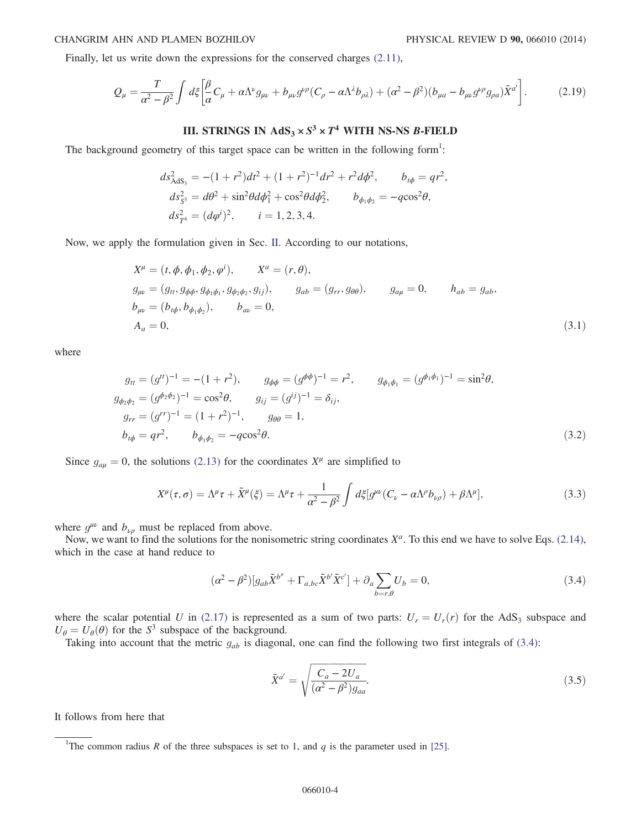<span id="page-3-2"></span>Finally, let us write down the expressions for the conserved charges [\(2.11\)](#page-1-7),

$$
Q_{\mu} = \frac{T}{\alpha^2 - \beta^2} \int d\xi \left[ \frac{\beta}{\alpha} C_{\mu} + \alpha \Lambda^{\nu} g_{\mu\nu} + b_{\mu\nu} g^{\nu\rho} (C_{\rho} - \alpha \Lambda^{\lambda} b_{\rho\lambda}) + (\alpha^2 - \beta^2) (b_{\mu a} - b_{\mu\nu} g^{\nu\rho} g_{\rho a}) \tilde{X}^{a'} \right].
$$
 (2.19)

# III. STRINGS IN  $AdS_3 \times S^3 \times T^4$  WITH NS-NS B-FIELD

<span id="page-3-0"></span>The background geometry of this target space can be written in the following form<sup>1</sup>:

$$
ds_{AdS_3}^2 = -(1+r^2)dt^2 + (1+r^2)^{-1}dr^2 + r^2d\phi^2, \t b_{t\phi} = qr^2,
$$
  
\n
$$
ds_{S^3}^2 = d\theta^2 + \sin^2\theta d\phi_1^2 + \cos^2\theta d\phi_2^2, \t b_{\phi_1\phi_2} = -q\cos^2\theta,
$$
  
\n
$$
ds_{T^4}^2 = (d\phi^i)^2, \t i = 1, 2, 3, 4.
$$

<span id="page-3-3"></span>Now, we apply the formulation given in Sec. [II](#page-0-2). According to our notations,

$$
X^{\mu} = (t, \phi, \phi_1, \phi_2, \phi^i), \qquad X^a = (r, \theta),
$$
  
\n
$$
g_{\mu\nu} = (g_{tt}, g_{\phi\phi}, g_{\phi_1\phi_1}, g_{\phi_2\phi_2}, g_{ij}), \qquad g_{ab} = (g_{rr}, g_{\theta\theta}), \qquad g_{a\mu} = 0, \qquad h_{ab} = g_{ab},
$$
  
\n
$$
b_{\mu\nu} = (b_{t\phi}, b_{\phi_1\phi_2}), \qquad b_{a\nu} = 0,
$$
  
\n
$$
A_a = 0,
$$
\n(3.1)

<span id="page-3-4"></span>where

$$
g_{tt} = (g^{tt})^{-1} = -(1+r^2), \t g_{\phi\phi} = (g^{\phi\phi})^{-1} = r^2, \t g_{\phi_1\phi_1} = (g^{\phi_1\phi_1})^{-1} = \sin^2\theta,
$$
  
\n
$$
g_{\phi_2\phi_2} = (g^{\phi_2\phi_2})^{-1} = \cos^2\theta, \t g_{ij} = (g^{ij})^{-1} = \delta_{ij},
$$
  
\n
$$
g_{rr} = (g^{rr})^{-1} = (1+r^2)^{-1}, \t g_{\theta\theta} = 1,
$$
  
\n
$$
b_{t\phi} = qr^2, \t b_{\phi_1\phi_2} = -q\cos^2\theta.
$$
\n(3.2)

<span id="page-3-6"></span>Since  $g_{\alpha\mu} = 0$ , the solutions [\(2.13\)](#page-2-0) for the coordinates  $X^{\mu}$  are simplified to

$$
X^{\mu}(\tau,\sigma) = \Lambda^{\mu}\tau + \tilde{X}^{\mu}(\xi) = \Lambda^{\mu}\tau + \frac{1}{\alpha^{2} - \beta^{2}} \int d\xi [g^{\mu\nu}(C_{\nu} - \alpha\Lambda^{\rho}b_{\nu\rho}) + \beta\Lambda^{\mu}], \tag{3.3}
$$

<span id="page-3-1"></span>where  $g^{\mu\nu}$  and  $b_{\nu\rho}$  must be replaced from above.

Now, we want to find the solutions for the nonisometric string coordinates  $X^a$ . To this end we have to solve Eqs. [\(2.14\)](#page-2-1), which in the case at hand reduce to

$$
(\alpha^2 - \beta^2)[g_{ab}\tilde{X}^{b''} + \Gamma_{a,bc}\tilde{X}^{b'}\tilde{X}^{c'}] + \partial_a \sum_{b=r,\theta} U_b = 0,
$$
\n(3.4)

where the scalar potential U in [\(2.17\)](#page-2-2) is represented as a sum of two parts:  $U_r = U_r(r)$  for the AdS<sub>3</sub> subspace and  $U_{\theta} = U_{\theta}(\theta)$  for the S<sup>3</sup> subspace of the background.

Taking into account that the metric  $g_{ab}$  is diagonal, one can find the following two first integrals of [\(3.4\):](#page-3-1)

$$
\tilde{X}^{a'} = \sqrt{\frac{C_a - 2U_a}{(\alpha^2 - \beta^2)g_{aa}}}.\tag{3.5}
$$

<span id="page-3-5"></span>It follows from here that

<sup>&</sup>lt;sup>1</sup>The common radius R of the three subspaces is set to 1, and q is the parameter used in [\[25\]](#page-14-1).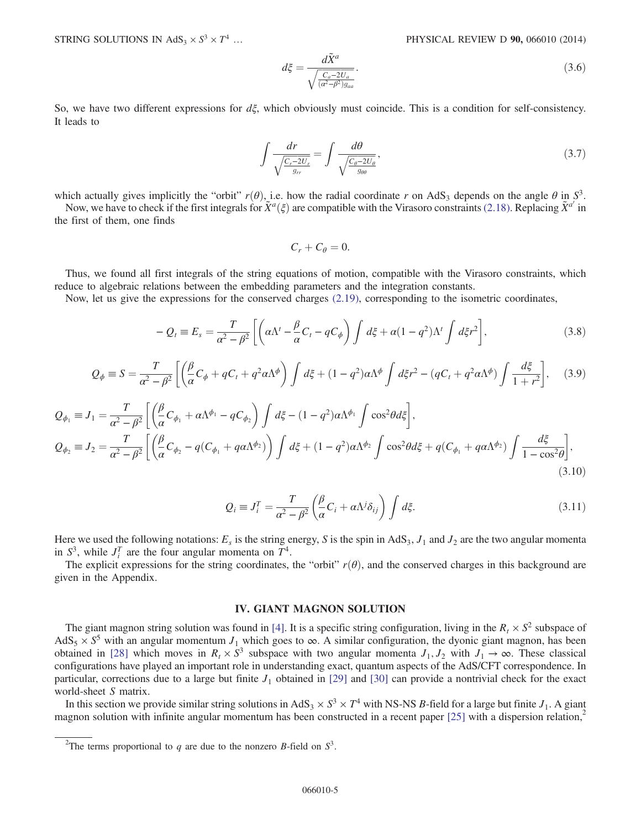STRING SOLUTIONS IN  $AdS_3 \times S^3 \times T^4$  ...

$$
d\xi = \frac{d\tilde{X}^a}{\sqrt{\frac{C_a - 2U_a}{(a^2 - \beta^2)g_{aa}}}}.\tag{3.6}
$$

So, we have two different expressions for  $d\xi$ , which obviously must coincide. This is a condition for self-consistency. It leads to

$$
\int \frac{dr}{\sqrt{\frac{C_r - 2U_r}{g_{rr}}}} = \int \frac{d\theta}{\sqrt{\frac{C_\theta - 2U_\theta}{g_{\theta\theta}}}},\tag{3.7}
$$

which actually gives implicitly the "orbit"  $r(\theta)$ , i.e. how the radial coordinate r on AdS<sub>3</sub> depends on the angle  $\theta$  in S<sup>3</sup>.

Now, we have to check if the first integrals for  $\tilde{X}^a(\xi)$  are compatible with the Virasoro constraints [\(2.18\)](#page-2-3). Replacing  $\tilde{X}^{a'}$  in the first of them, one finds

$$
C_r+C_\theta=0.
$$

<span id="page-4-2"></span>Thus, we found all first integrals of the string equations of motion, compatible with the Virasoro constraints, which reduce to algebraic relations between the embedding parameters and the integration constants.

Now, let us give the expressions for the conserved charges [\(2.19\),](#page-3-2) corresponding to the isometric coordinates,

$$
-Q_t = E_s = \frac{T}{\alpha^2 - \beta^2} \left[ \left( \alpha \Lambda^t - \frac{\beta}{\alpha} C_t - q C_\phi \right) \int d\xi + \alpha (1 - q^2) \Lambda^t \int d\xi r^2 \right],
$$
\n(3.8)

<span id="page-4-3"></span>
$$
Q_{\phi} \equiv S = \frac{T}{\alpha^2 - \beta^2} \left[ \left( \frac{\beta}{\alpha} C_{\phi} + q C_t + q^2 \alpha \Lambda^{\phi} \right) \int d\xi + (1 - q^2) \alpha \Lambda^{\phi} \int d\xi r^2 - (q C_t + q^2 \alpha \Lambda^{\phi}) \int \frac{d\xi}{1 + r^2} \right], \quad (3.9)
$$

<span id="page-4-5"></span><span id="page-4-4"></span>
$$
Q_{\phi_1} \equiv J_1 = \frac{T}{\alpha^2 - \beta^2} \left[ \left( \frac{\beta}{\alpha} C_{\phi_1} + \alpha \Lambda^{\phi_1} - q C_{\phi_2} \right) \int d\xi - (1 - q^2) \alpha \Lambda^{\phi_1} \int \cos^2 \theta d\xi \right],
$$
  
\n
$$
Q_{\phi_2} \equiv J_2 = \frac{T}{\alpha^2 - \beta^2} \left[ \left( \frac{\beta}{\alpha} C_{\phi_2} - q (C_{\phi_1} + q \alpha \Lambda^{\phi_2}) \right) \int d\xi + (1 - q^2) \alpha \Lambda^{\phi_2} \int \cos^2 \theta d\xi + q (C_{\phi_1} + q \alpha \Lambda^{\phi_2}) \int \frac{d\xi}{1 - \cos^2 \theta} \right],
$$
\n(3.10)

$$
Q_i \equiv J_i^T = \frac{T}{\alpha^2 - \beta^2} \left( \frac{\beta}{\alpha} C_i + \alpha \Lambda^j \delta_{ij} \right) \int d\xi. \tag{3.11}
$$

Here we used the following notations:  $E_s$  is the string energy, S is the spin in AdS<sub>3</sub>,  $J_1$  and  $J_2$  are the two angular momenta in  $S^3$ , while  $J_i^T$  are the four angular momenta on  $T^4$ .

<span id="page-4-0"></span>The explicit expressions for the string coordinates, the "orbit"  $r(\theta)$ , and the conserved charges in this background are given in the Appendix.

#### IV. GIANT MAGNON SOLUTION

The giant magnon string solution was found in [\[4\].](#page-13-3) It is a specific string configuration, living in the  $R_t \times S^2$  subspace of AdS<sub>5</sub>  $\times$  S<sup>5</sup> with an angular momentum J<sub>1</sub> which goes to  $\infty$ . A similar configuration, the dyonic giant magnon, has been obtained in [\[28\]](#page-14-2) which moves in  $R_t \times S^3$  subspace with two angular momenta  $J_1, J_2$  with  $J_1 \to \infty$ . These classical configurations have played an important role in understanding exact, quantum aspects of the AdS/CFT correspondence. In particular, corrections due to a large but finite  $J_1$  obtained in [\[29\]](#page-14-3) and [\[30\]](#page-14-4) can provide a nontrivial check for the exact world-sheet S matrix.

<span id="page-4-1"></span>In this section we provide similar string solutions in AdS<sub>3</sub>  $\times$  S<sup>3</sup>  $\times$  T<sup>4</sup> with NS-NS B-field for a large but finite J<sub>1</sub>. A giant magnon solution with infinite angular momentum has been constructed in a recent paper  $[25]$  with a dispersion relation,<sup>2</sup>

<sup>&</sup>lt;sup>2</sup>The terms proportional to q are due to the nonzero B-field on  $S^3$ .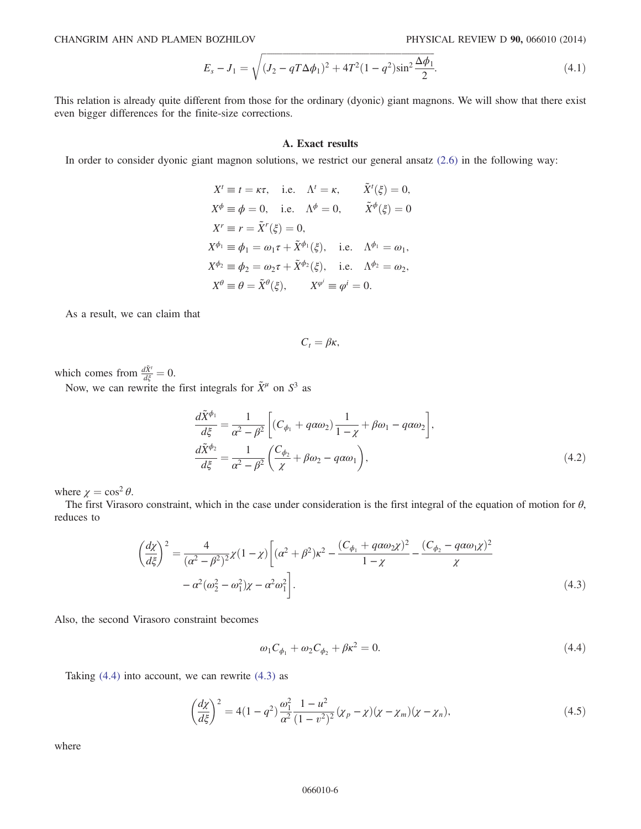$$
E_s - J_1 = \sqrt{(J_2 - qT\Delta\phi_1)^2 + 4T^2(1 - q^2)\sin^2\frac{\Delta\phi_1}{2}}.
$$
\n(4.1)

This relation is already quite different from those for the ordinary (dyonic) giant magnons. We will show that there exist even bigger differences for the finite-size corrections.

## A. Exact results

In order to consider dyonic giant magnon solutions, we restrict our general ansatz [\(2.6\)](#page-1-4) in the following way:

$$
X^{t} \equiv t = \kappa \tau, \quad \text{i.e.} \quad \Lambda^{t} = \kappa, \quad \tilde{X}^{t}(\xi) = 0,
$$
  
\n
$$
X^{\phi} \equiv \phi = 0, \quad \text{i.e.} \quad \Lambda^{\phi} = 0, \quad \tilde{X}^{\phi}(\xi) = 0
$$
  
\n
$$
X^{r} \equiv r = \tilde{X}^{r}(\xi) = 0,
$$
  
\n
$$
X^{\phi_{1}} \equiv \phi_{1} = \omega_{1} \tau + \tilde{X}^{\phi_{1}}(\xi), \quad \text{i.e.} \quad \Lambda^{\phi_{1}} = \omega_{1},
$$
  
\n
$$
X^{\phi_{2}} \equiv \phi_{2} = \omega_{2} \tau + \tilde{X}^{\phi_{2}}(\xi), \quad \text{i.e.} \quad \Lambda^{\phi_{2}} = \omega_{2},
$$
  
\n
$$
X^{\theta} \equiv \theta = \tilde{X}^{\theta}(\xi), \quad X^{\phi^{i}} \equiv \phi^{i} = 0.
$$

As a result, we can claim that

$$
C_t = \beta \kappa,
$$

<span id="page-5-2"></span>which comes from  $\frac{d\tilde{X}^t}{d\xi} = 0$ .

Now, we can rewrite the first integrals for  $\tilde{X}^{\mu}$  on  $S^3$  as

$$
\frac{d\tilde{X}^{\phi_1}}{d\xi} = \frac{1}{\alpha^2 - \beta^2} \left[ (C_{\phi_1} + q\alpha\omega_2) \frac{1}{1 - \chi} + \beta\omega_1 - q\alpha\omega_2 \right],
$$
  

$$
\frac{d\tilde{X}^{\phi_2}}{d\xi} = \frac{1}{\alpha^2 - \beta^2} \left( \frac{C_{\phi_2}}{\chi} + \beta\omega_2 - q\alpha\omega_1 \right),
$$
 (4.2)

<span id="page-5-1"></span>where  $\chi = \cos^2 \theta$ .

The first Virasoro constraint, which in the case under consideration is the first integral of the equation of motion for  $\theta$ , reduces to

$$
\left(\frac{d\chi}{d\xi}\right)^2 = \frac{4}{(\alpha^2 - \beta^2)^2} \chi(1 - \chi) \left[ (\alpha^2 + \beta^2) \kappa^2 - \frac{(C_{\phi_1} + q\alpha\omega_2\chi)^2}{1 - \chi} - \frac{(C_{\phi_2} - q\alpha\omega_1\chi)^2}{\chi} - \alpha^2(\omega_2^2 - \omega_1^2)\chi - \alpha^2\omega_1^2 \right].
$$
\n(4.3)

<span id="page-5-0"></span>Also, the second Virasoro constraint becomes

$$
\omega_1 C_{\phi_1} + \omega_2 C_{\phi_2} + \beta \kappa^2 = 0. \tag{4.4}
$$

<span id="page-5-3"></span>Taking  $(4.4)$  into account, we can rewrite  $(4.3)$  as

$$
\left(\frac{d\chi}{d\xi}\right)^2 = 4(1-q^2)\frac{\omega_1^2}{\alpha^2}\frac{1-u^2}{(1-v^2)^2}(x_p-\chi)(\chi-\chi_m)(\chi-\chi_n),\tag{4.5}
$$

where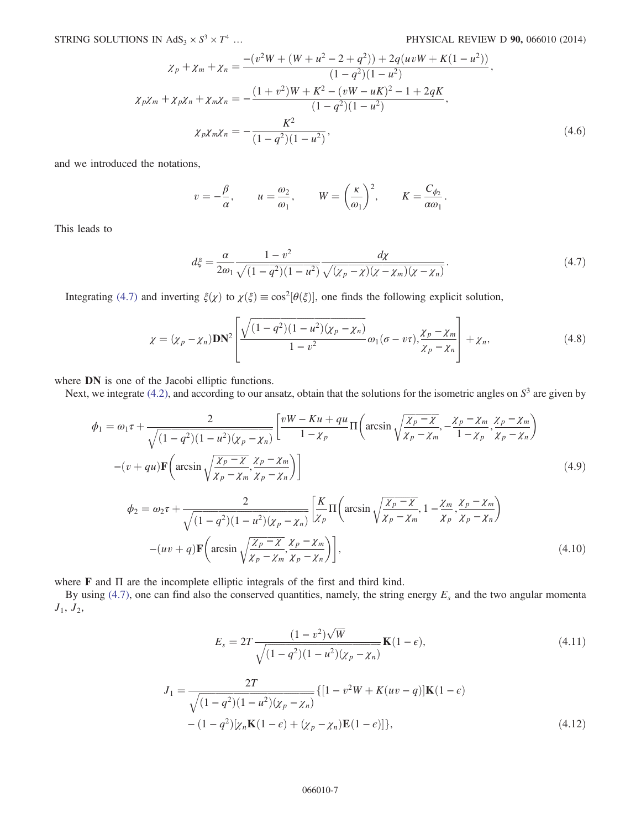$$
\chi_p + \chi_m + \chi_n = \frac{-(v^2W + (W + u^2 - 2 + q^2)) + 2q(uvW + K(1 - u^2))}{(1 - q^2)(1 - u^2)},
$$
  
\n
$$
\chi_p \chi_m + \chi_p \chi_n + \chi_m \chi_n = -\frac{(1 + v^2)W + K^2 - (vW - uK)^2 - 1 + 2qK}{(1 - q^2)(1 - u^2)},
$$
  
\n
$$
\chi_p \chi_m \chi_n = -\frac{K^2}{(1 - q^2)(1 - u^2)},
$$
\n(4.6)

and we introduced the notations,

$$
v = -\frac{\beta}{\alpha}
$$
,  $u = \frac{\omega_2}{\omega_1}$ ,  $W = \left(\frac{\kappa}{\omega_1}\right)^2$ ,  $K = \frac{C_{\phi_2}}{\alpha \omega_1}$ .

<span id="page-6-0"></span>This leads to

$$
d\xi = \frac{\alpha}{2\omega_1} \frac{1 - v^2}{\sqrt{(1 - q^2)(1 - u^2)}} \frac{dy}{\sqrt{(x_p - \chi)(\chi - \chi_m)(\chi - \chi_n)}}.
$$
(4.7)

Integrating [\(4.7\)](#page-6-0) and inverting  $\xi(\chi)$  to  $\chi(\xi) \equiv \cos^2[\theta(\xi)]$ , one finds the following explicit solution,

$$
\chi = (\chi_p - \chi_n) \mathbf{DN}^2 \left[ \frac{\sqrt{(1 - q^2)(1 - u^2)(\chi_p - \chi_n)}}{1 - v^2} \omega_1 (\sigma - v \tau), \frac{\chi_p - \chi_m}{\chi_p - \chi_n} \right] + \chi_n,
$$
(4.8)

where **DN** is one of the Jacobi elliptic functions.

Next, we integrate [\(4.2\)](#page-5-2), and according to our ansatz, obtain that the solutions for the isometric angles on  $S<sup>3</sup>$  are given by

$$
\phi_1 = \omega_1 \tau + \frac{2}{\sqrt{(1-q^2)(1-u^2)(\chi_p - \chi_n)}} \left[ \frac{vW - Ku + qu}{1 - \chi_p} \Pi \left( \arcsin \sqrt{\frac{\chi_p - \chi}{\chi_p - \chi_m}}, -\frac{\chi_p - \chi_m}{1 - \chi_p}, \frac{\chi_p - \chi_m}{\chi_p - \chi_n} \right) - (v + qu)\mathbf{F} \left( \arcsin \sqrt{\frac{\chi_p - \chi}{\chi_p - \chi_m}}, \frac{\chi_p - \chi_m}{\chi_p - \chi_n} \right) \right]
$$
\n
$$
\phi_2 = \omega_2 \tau + \frac{2}{\sqrt{(1-q^2)(1-u^2)(\chi_p - \chi_n)}} \left[ \frac{K}{\chi_p} \Pi \left( \arcsin \sqrt{\frac{\chi_p - \chi}{\chi_p - \chi_m}}, 1 - \frac{\chi_m}{\chi_p}, \frac{\chi_p - \chi_m}{\chi_p - \chi_n} \right) \right]
$$
\n(4.9)

$$
-(uv+q)\mathbf{F}\left(\arcsin\sqrt{\frac{\chi_p-\chi}{\chi_p-\chi_m}},\frac{\chi_p-\chi_m}{\chi_p-\chi_n}\right)\right],
$$
\n(4.10)

where F and Π are the incomplete elliptic integrals of the first and third kind.

<span id="page-6-2"></span><span id="page-6-1"></span>By using [\(4.7\)](#page-6-0), one can find also the conserved quantities, namely, the string energy  $E_s$  and the two angular momenta  $J_1, J_2,$ 

$$
E_s = 2T \frac{(1 - v^2)\sqrt{W}}{\sqrt{(1 - q^2)(1 - u^2)(\chi_p - \chi_n)}} \mathbf{K}(1 - \epsilon),
$$
\n(4.11)

<span id="page-6-3"></span>
$$
J_1 = \frac{2T}{\sqrt{(1-q^2)(1-u^2)(\chi_p - \chi_n)}} \{ [1-v^2W + K(uv - q)]\mathbf{K}(1-\epsilon) - (1-q^2)[\chi_n\mathbf{K}(1-\epsilon) + (\chi_p - \chi_n)\mathbf{E}(1-\epsilon)] \},
$$
\n(4.12)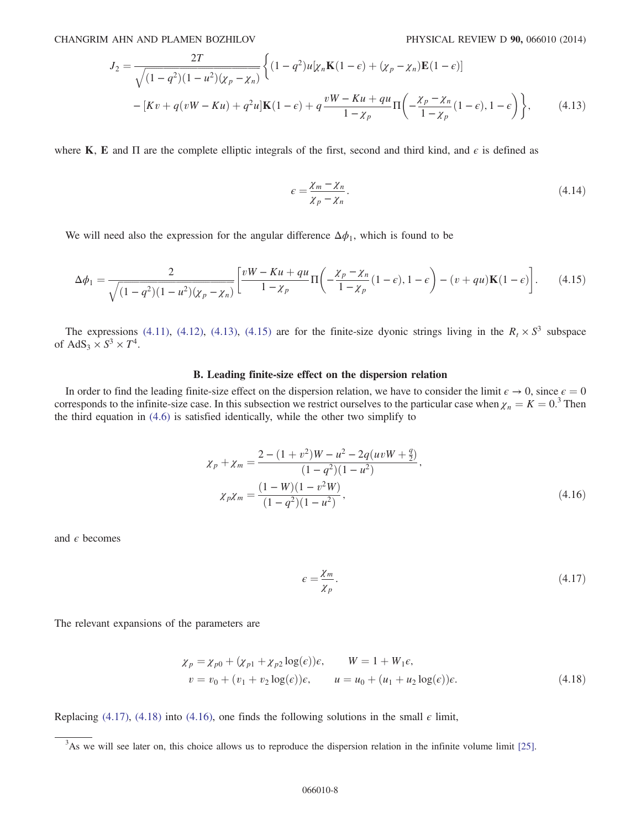$$
J_2 = \frac{2T}{\sqrt{(1 - q^2)(1 - u^2)(\chi_p - \chi_n)}} \left\{ (1 - q^2)u[\chi_n \mathbf{K}(1 - \epsilon) + (\chi_p - \chi_n)\mathbf{E}(1 - \epsilon)] - [Kv + q(vW - Ku) + q^2u]\mathbf{K}(1 - \epsilon) + q\frac{vW - Ku + qu}{1 - \chi_p}\Pi\left(-\frac{\chi_p - \chi_n}{1 - \chi_p}(1 - \epsilon), 1 - \epsilon\right) \right\},
$$
(4.13)

<span id="page-7-0"></span>where K, E and  $\Pi$  are the complete elliptic integrals of the first, second and third kind, and  $\epsilon$  is defined as

$$
\epsilon = \frac{\chi_m - \chi_n}{\chi_p - \chi_n}.\tag{4.14}
$$

We will need also the expression for the angular difference  $\Delta \phi_1$ , which is found to be

$$
\Delta \phi_1 = \frac{2}{\sqrt{(1-q^2)(1-u^2)(\chi_p - \chi_n)}} \left[ \frac{vW - Ku + qu}{1-\chi_p} \Pi \left( -\frac{\chi_p - \chi_n}{1-\chi_p} (1-\epsilon), 1-\epsilon \right) - (v+qu)\mathbf{K}(1-\epsilon) \right]. \tag{4.15}
$$

<span id="page-7-3"></span>The expressions [\(4.11\),](#page-6-1) [\(4.12\)](#page-6-2), [\(4.13\),](#page-6-3) [\(4.15\)](#page-7-0) are for the finite-size dyonic strings living in the  $R_t \times S^3$  subspace of AdS<sub>3</sub>  $\times$  S<sup>3</sup>  $\times$  T<sup>4</sup>.

### B. Leading finite-size effect on the dispersion relation

<span id="page-7-1"></span>In order to find the leading finite-size effect on the dispersion relation, we have to consider the limit  $\epsilon \to 0$ , since  $\epsilon = 0$ corresponds to the infinite-size case. In this subsection we restrict ourselves to the particular case when  $\chi_n = K = 0^3$ . Then<br>the third equation in (4.6) is satisfied identically while the other two simplify to the third equation in [\(4.6\)](#page-5-3) is satisfied identically, while the other two simplify to

$$
\chi_p + \chi_m = \frac{2 - (1 + v^2)W - u^2 - 2q(uvW + \frac{q}{2})}{(1 - q^2)(1 - u^2)},
$$
  
\n
$$
\chi_p \chi_m = \frac{(1 - W)(1 - v^2W)}{(1 - q^2)(1 - u^2)},
$$
\n(4.16)

<span id="page-7-4"></span><span id="page-7-2"></span>and  $\epsilon$  becomes

$$
\epsilon = \frac{\chi_m}{\chi_p}.\tag{4.17}
$$

The relevant expansions of the parameters are

$$
\begin{aligned}\n\chi_p &= \chi_{p0} + (\chi_{p1} + \chi_{p2} \log(\epsilon))\epsilon, & W &= 1 + W_1\epsilon, \\
v &= v_0 + (v_1 + v_2 \log(\epsilon))\epsilon, & u &= u_0 + (u_1 + u_2 \log(\epsilon))\epsilon.\n\end{aligned}\n\tag{4.18}
$$

Replacing [\(4.17\),](#page-7-1) [\(4.18\)](#page-7-2) into [\(4.16\),](#page-7-3) one finds the following solutions in the small  $\epsilon$  limit,

 $3$ As we will see later on, this choice allows us to reproduce the dispersion relation in the infinite volume limit [\[25\].](#page-14-1)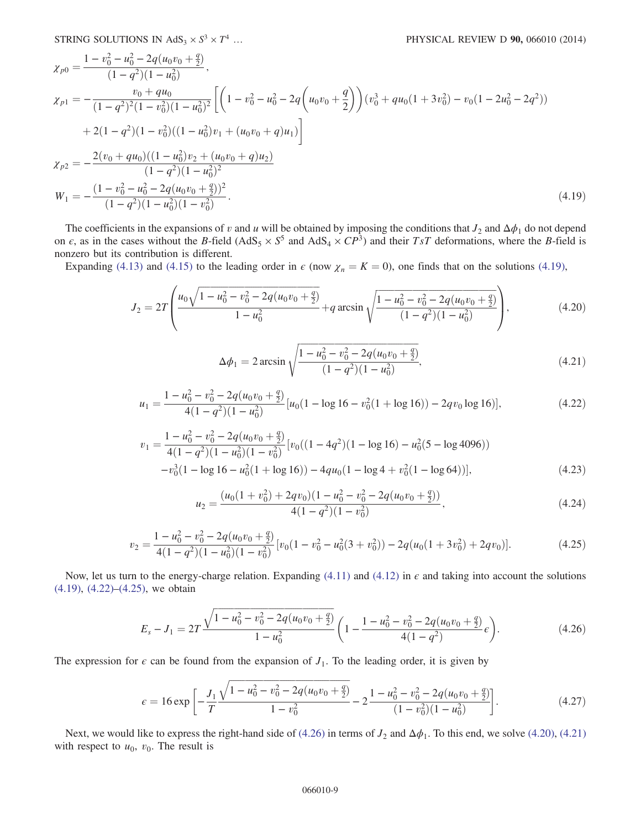$$
\chi_{p0} = \frac{1 - v_0^2 - u_0^2 - 2q(u_0v_0 + \frac{q}{2})}{(1 - q^2)(1 - u_0^2)},
$$
\n
$$
\chi_{p1} = -\frac{v_0 + qu_0}{(1 - q^2)^2(1 - v_0^2)(1 - u_0^2)^2} \left[ \left(1 - v_0^2 - u_0^2 - 2q\left(u_0v_0 + \frac{q}{2}\right)\right) (v_0^3 + qu_0(1 + 3v_0^2) - v_0(1 - 2u_0^2 - 2q^2))\right.
$$
\n
$$
+ 2(1 - q^2)(1 - v_0^2)((1 - u_0^2)v_1 + (u_0v_0 + q)u_1) \right]
$$
\n
$$
\chi_{p2} = -\frac{2(v_0 + qu_0)((1 - u_0^2)v_2 + (u_0v_0 + q)u_2)}{(1 - q^2)(1 - u_0^2)^2}
$$
\n
$$
W_1 = -\frac{(1 - v_0^2 - u_0^2 - 2q(u_0v_0 + \frac{q}{2}))^2}{(1 - q^2)(1 - u_0^2)(1 - v_0^2)}.
$$
\n(4.19)

The coefficients in the expansions of v and u will be obtained by imposing the conditions that  $J_2$  and  $\Delta\phi_1$  do not depend on  $\epsilon$ , as in the cases without the B-field (AdS<sub>5</sub>  $\times$  S<sup>5</sup> and AdS<sub>4</sub>  $\times$  CP<sup>3</sup>) and their TsT deformations, where the B-field is nonzero but its contribution is different.

<span id="page-8-4"></span><span id="page-8-3"></span>Expanding [\(4.13\)](#page-6-3) and [\(4.15\)](#page-7-0) to the leading order in  $\epsilon$  (now  $\chi_n = K = 0$ ), one finds that on the solutions [\(4.19\),](#page-7-4)

$$
J_2 = 2T \left( \frac{u_0 \sqrt{1 - u_0^2 - v_0^2 - 2q(u_0 v_0 + \frac{q}{2})}}{1 - u_0^2} + q \arcsin \sqrt{\frac{1 - u_0^2 - v_0^2 - 2q(u_0 v_0 + \frac{q}{2})}{(1 - q^2)(1 - u_0^2)}} \right),
$$
(4.20)

$$
\Delta \phi_1 = 2 \arcsin \sqrt{\frac{1 - u_0^2 - v_0^2 - 2q(u_0 v_0 + \frac{q}{2})}{(1 - q^2)(1 - u_0^2)}},\tag{4.21}
$$

<span id="page-8-0"></span>
$$
u_1 = \frac{1 - u_0^2 - v_0^2 - 2q(u_0v_0 + \frac{q}{2})}{4(1 - q^2)(1 - u_0^2)} [u_0(1 - \log 16 - v_0^2(1 + \log 16)) - 2qv_0 \log 16)],
$$
\n(4.22)

$$
v_1 = \frac{1 - u_0^2 - v_0^2 - 2q(u_0v_0 + \frac{q}{2})}{4(1 - q^2)(1 - u_0^2)(1 - v_0^2)} [v_0((1 - 4q^2)(1 - \log 16) - u_0^2(5 - \log 4096))
$$
  

$$
-v_0^3(1 - \log 16 - u_0^2(1 + \log 16)) - 4qu_0(1 - \log 4 + v_0^2(1 - \log 64))],
$$
 (4.23)

$$
u_2 = \frac{(u_0(1+v_0^2) + 2qv_0)(1-u_0^2 - v_0^2 - 2q(u_0v_0 + \frac{q}{2}))}{4(1-q^2)(1-v_0^2)},
$$
\n(4.24)

$$
v_2 = \frac{1 - u_0^2 - v_0^2 - 2q(u_0v_0 + \frac{q}{2})}{4(1 - q^2)(1 - u_0^2)(1 - v_0^2)} [v_0(1 - v_0^2 - u_0^2(3 + v_0^2)) - 2q(u_0(1 + 3v_0^2) + 2qv_0)].
$$
\n(4.25)

<span id="page-8-2"></span><span id="page-8-1"></span>Now, let us turn to the energy-charge relation. Expanding [\(4.11\)](#page-6-1) and [\(4.12\)](#page-6-2) in  $\epsilon$  and taking into account the solutions [\(4.19\)](#page-7-4), [\(4.22\)](#page-8-0)–[\(4.25\),](#page-8-1) we obtain

$$
E_s - J_1 = 2T \frac{\sqrt{1 - u_0^2 - v_0^2 - 2q(u_0v_0 + \frac{q}{2})}}{1 - u_0^2} \left(1 - \frac{1 - u_0^2 - v_0^2 - 2q(u_0v_0 + \frac{q}{2})}{4(1 - q^2)} \epsilon\right).
$$
(4.26)

<span id="page-8-6"></span>The expression for  $\epsilon$  can be found from the expansion of  $J_1$ . To the leading order, it is given by

$$
\epsilon = 16 \exp\left[-\frac{J_1}{T} \frac{\sqrt{1 - u_0^2 - v_0^2 - 2q(u_0v_0 + \frac{q}{2})}}{1 - v_0^2} - 2 \frac{1 - u_0^2 - v_0^2 - 2q(u_0v_0 + \frac{q}{2})}{(1 - v_0^2)(1 - u_0^2)}\right].
$$
\n(4.27)

<span id="page-8-5"></span>Next, we would like to express the right-hand side of [\(4.26\)](#page-8-2) in terms of  $J_2$  and  $\Delta\phi_1$ . To this end, we solve [\(4.20\),](#page-8-3) [\(4.21\)](#page-8-4) with respect to  $u_0$ ,  $v_0$ . The result is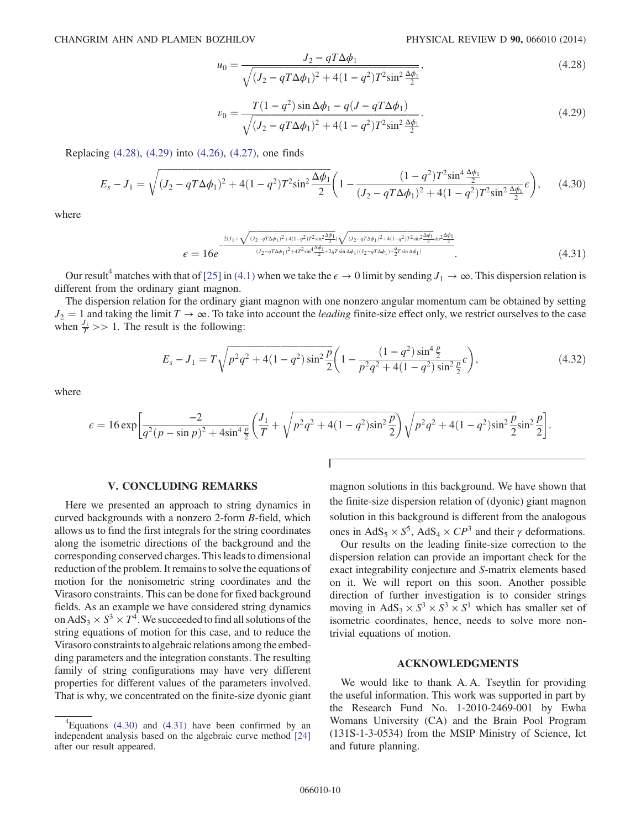$$
u_0 = \frac{J_2 - qT\Delta\phi_1}{\sqrt{(J_2 - qT\Delta\phi_1)^2 + 4(1 - q^2)T^2\sin^2\frac{\Delta\phi_1}{2}}},\tag{4.28}
$$

$$
v_0 = \frac{T(1-q^2)\sin\Delta\phi_1 - q(J-qT\Delta\phi_1)}{\sqrt{(J_2 - qT\Delta\phi_1)^2 + 4(1-q^2)T^2\sin^2\frac{\Delta\phi_1}{2}}}.
$$
\n(4.29)

<span id="page-9-2"></span><span id="page-9-1"></span>Replacing [\(4.28\)](#page-8-5), [\(4.29\)](#page-9-1) into [\(4.26\)](#page-8-2), [\(4.27\),](#page-8-6) one finds

$$
E_s - J_1 = \sqrt{(J_2 - qT\Delta\phi_1)^2 + 4(1 - q^2)T^2\sin^2\frac{\Delta\phi_1}{2}} \left(1 - \frac{(1 - q^2)T^2\sin^4\frac{\Delta\phi_1}{2}}{(J_2 - qT\Delta\phi_1)^2 + 4(1 - q^2)T^2\sin^2\frac{\Delta\phi_1}{2}}\epsilon\right),\tag{4.30}
$$

<span id="page-9-3"></span>where

$$
\epsilon = 16e^{-\frac{2(J_1 + \sqrt{(J_2 - qT\Delta\phi_1)^2 + 4(1-q^2)T^2\sin^2\frac{\Delta\phi_1}{2})}\sqrt{(J_2 - qT\Delta\phi_1)^2 + 4(1-q^2)T^2\sin^2\frac{\Delta\phi_1}{2}\sin^2\frac{\Delta\phi_1}{2}}}}{(J_2 - qT\Delta\phi_1)^2 + 4T^2\sin^4\frac{\Delta\phi_1}{2} + 2qT\sin\Delta\phi_1((J_2 - qT\Delta\phi_1) + \frac{q}{2}T\sin\Delta\phi_1)}.
$$
\n(4.31)

Our result<sup>4</sup> matches with that of [\[25\]](#page-14-1) in [\(4.1\)](#page-4-1) when we take the  $\epsilon \to 0$  limit by sending  $J_1 \to \infty$ . This dispersion relation is different from the ordinary giant magnon.

The dispersion relation for the ordinary giant magnon with one nonzero angular momentum cam be obtained by setting  $J_2 = 1$  and taking the limit  $T \to \infty$ . To take into account the *leading* finite-size effect only, we restrict ourselves to the case when  $\frac{J_1}{T}$  >> 1. The result is the following:

$$
E_s - J_1 = T \sqrt{p^2 q^2 + 4(1 - q^2) \sin^2 \frac{p}{2}} \left( 1 - \frac{(1 - q^2) \sin^4 \frac{p}{2}}{p^2 q^2 + 4(1 - q^2) \sin^2 \frac{p}{2}} \epsilon \right),
$$
\n(4.32)

where

$$
\epsilon = 16 \exp \left[ \frac{-2}{q^2 (p - \sin p)^2 + 4 \sin^4 \frac{p}{2}} \left( \frac{J_1}{T} + \sqrt{p^2 q^2 + 4(1 - q^2) \sin^2 \frac{p}{2}} \right) \sqrt{p^2 q^2 + 4(1 - q^2) \sin^2 \frac{p}{2}} \sin^2 \frac{p}{2} \right].
$$

T

#### V. CONCLUDING REMARKS

<span id="page-9-0"></span>Here we presented an approach to string dynamics in curved backgrounds with a nonzero 2-form B-field, which allows us to find the first integrals for the string coordinates along the isometric directions of the background and the corresponding conserved charges. This leads to dimensional reduction of the problem. It remains to solve the equations of motion for the nonisometric string coordinates and the Virasoro constraints. This can be done for fixed background fields. As an example we have considered string dynamics on AdS<sub>3</sub>  $\times$  S<sup>3</sup>  $\times$  T<sup>4</sup>. We succeeded to find all solutions of the string equations of motion for this case, and to reduce the Virasoro constraints to algebraic relations among the embedding parameters and the integration constants. The resulting family of string configurations may have very different properties for different values of the parameters involved. That is why, we concentrated on the finite-size dyonic giant magnon solutions in this background. We have shown that the finite-size dispersion relation of (dyonic) giant magnon solution in this background is different from the analogous ones in AdS<sub>5</sub> ×  $S^5$ , AdS<sub>4</sub> ×  $CP^3$  and their  $\gamma$  deformations.

Our results on the leading finite-size correction to the dispersion relation can provide an important check for the exact integrability conjecture and S-matrix elements based on it. We will report on this soon. Another possible direction of further investigation is to consider strings moving in AdS<sub>3</sub> ×  $S^3$  ×  $S^3$  ×  $S^1$  which has smaller set of isometric coordinates, hence, needs to solve more nontrivial equations of motion.

## ACKNOWLEDGMENTS

We would like to thank A.A. Tseytlin for providing the useful information. This work was supported in part by the Research Fund No. 1-2010-2469-001 by Ewha Womans University (CA) and the Brain Pool Program (131S-1-3-0534) from the MSIP Ministry of Science, Ict and future planning.

 ${}^{4}$ Equations [\(4.30\)](#page-9-2) and [\(4.31\)](#page-9-3) have been confirmed by an independent analysis based on the algebraic curve method [\[24\]](#page-14-5) after our result appeared.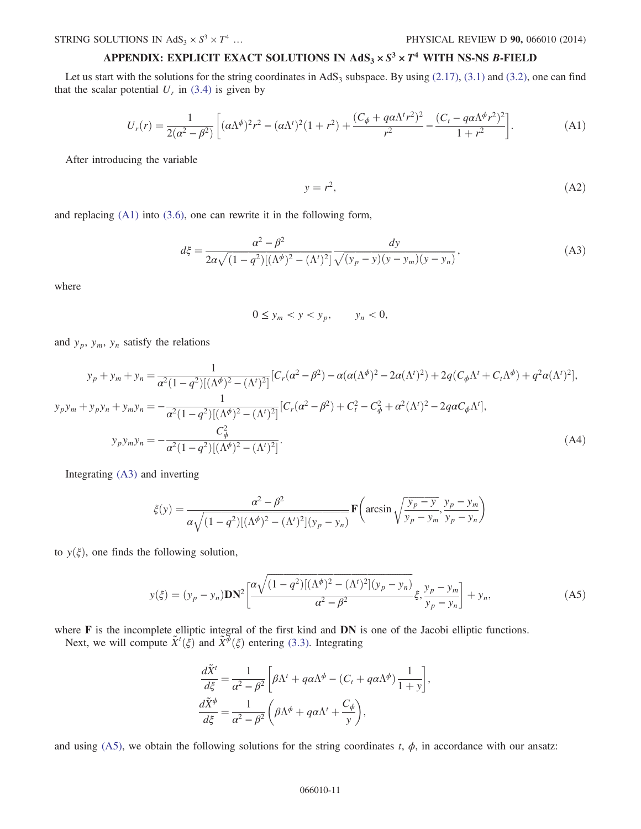# APPENDIX: EXPLICIT EXACT SOLUTIONS IN  $AdS_3 \times S^3 \times T^4$  with NS-NS B-FIELD

<span id="page-10-0"></span>Let us start with the solutions for the string coordinates in  $AdS_3$  subspace. By using [\(2.17\)](#page-2-2), [\(3.1\)](#page-3-3) and [\(3.2\)](#page-3-4), one can find that the scalar potential  $U_r$  in [\(3.4\)](#page-3-1) is given by

$$
U_r(r) = \frac{1}{2(\alpha^2 - \beta^2)} \left[ (\alpha \Lambda^{\phi})^2 r^2 - (\alpha \Lambda^t)^2 (1 + r^2) + \frac{(C_{\phi} + q\alpha \Lambda^t r^2)^2}{r^2} - \frac{(C_t - q\alpha \Lambda^{\phi} r^2)^2}{1 + r^2} \right].
$$
 (A1)

After introducing the variable

$$
y = r^2,\tag{A2}
$$

<span id="page-10-1"></span>and replacing [\(A1\)](#page-10-0) into [\(3.6\),](#page-3-5) one can rewrite it in the following form,

$$
d\xi = \frac{\alpha^2 - \beta^2}{2\alpha\sqrt{(1 - q^2)[(\Lambda^{\phi})^2 - (\Lambda^{\prime})^2]}} \frac{dy}{\sqrt{(y_p - y)(y - y_m)(y - y_n)}},
$$
(A3)

where

$$
0 \le y_m < y < y_p, \qquad y_n < 0,
$$

and  $y_p$ ,  $y_m$ ,  $y_n$  satisfy the relations

$$
y_p + y_m + y_n = \frac{1}{\alpha^2 (1 - q^2) [(\Lambda^{\phi})^2 - (\Lambda^t)^2]} [C_r (\alpha^2 - \beta^2) - \alpha (\alpha (\Lambda^{\phi})^2 - 2\alpha (\Lambda^t)^2) + 2q (C_{\phi} \Lambda^t + C_t \Lambda^{\phi}) + q^2 \alpha (\Lambda^t)^2],
$$
  
\n
$$
y_p y_m + y_p y_n + y_m y_n = -\frac{1}{\alpha^2 (1 - q^2) [(\Lambda^{\phi})^2 - (\Lambda^t)^2]} [C_r (\alpha^2 - \beta^2) + C_t^2 - C_{\phi}^2 + \alpha^2 (\Lambda^t)^2 - 2q \alpha C_{\phi} \Lambda^t],
$$
  
\n
$$
y_p y_m y_n = -\frac{C_{\phi}^2}{\alpha^2 (1 - q^2) [(\Lambda^{\phi})^2 - (\Lambda^t)^2]}.
$$
\n(A4)

<span id="page-10-2"></span>Integrating [\(A3\)](#page-10-1) and inverting

$$
\xi(y) = \frac{\alpha^2 - \beta^2}{\alpha \sqrt{(1 - q^2)[(\Lambda^{\phi})^2 - (\Lambda^{\prime})^2](y_p - y_n)}} \mathbf{F}\left(\arcsin\sqrt{\frac{y_p - y}{y_p - y_m}}, \frac{y_p - y_m}{y_p - y_n}\right)
$$

to  $y(\xi)$ , one finds the following solution,

$$
y(\xi) = (y_p - y_n) \mathbf{DN}^2 \left[ \frac{\alpha \sqrt{(1 - q^2) [(\Lambda^\phi)^2 - (\Lambda^\prime)^2] (y_p - y_n)}}{\alpha^2 - \beta^2} \xi, \frac{y_p - y_m}{y_p - y_n} \right] + y_n,
$$
(A5)

where **F** is the incomplete elliptic integral of the first kind and **DN** is one of the Jacobi elliptic functions.

Next, we will compute  $\tilde{X}^t(\xi)$  and  $\tilde{X}^{\phi}(\xi)$  entering [\(3.3\)](#page-3-6). Integrating

$$
\frac{d\tilde{X}^t}{d\xi} = \frac{1}{\alpha^2 - \beta^2} \left[ \beta \Lambda^t + q \alpha \Lambda^{\phi} - (C_t + q \alpha \Lambda^{\phi}) \frac{1}{1+y} \right],
$$
  

$$
\frac{d\tilde{X}^{\phi}}{d\xi} = \frac{1}{\alpha^2 - \beta^2} \left( \beta \Lambda^{\phi} + q \alpha \Lambda^t + \frac{C_{\phi}}{y} \right),
$$

and using [\(A5\),](#page-10-2) we obtain the following solutions for the string coordinates t,  $\phi$ , in accordance with our ansatz: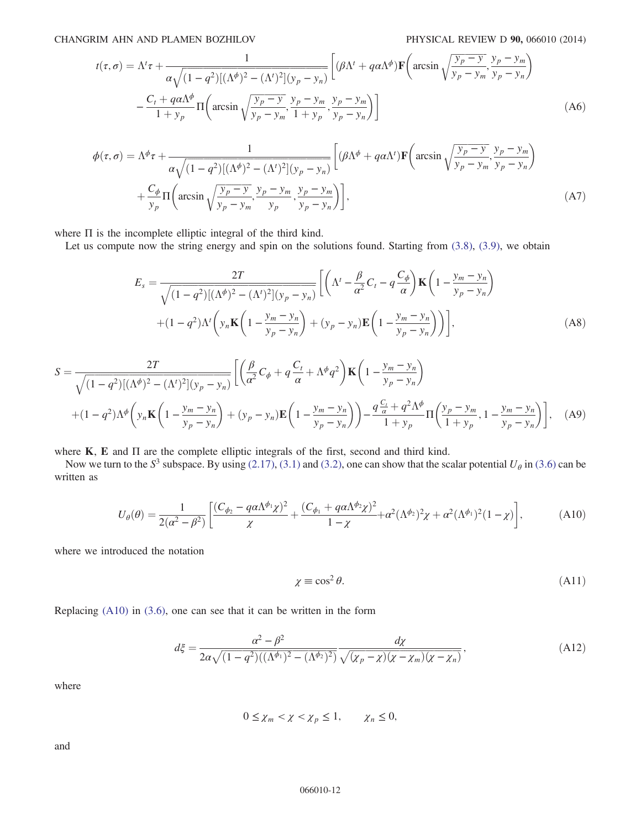$$
t(\tau,\sigma) = \Lambda^t \tau + \frac{1}{\alpha \sqrt{(1-q^2)[(\Lambda^{\phi})^2 - (\Lambda^t)^2](y_p - y_n)}} \left[ (\beta \Lambda^t + q \alpha \Lambda^{\phi}) \mathbf{F} \left( \arcsin \sqrt{\frac{y_p - y}{y_p - y_m}}, \frac{y_p - y_m}{y_p - y_n} \right) - \frac{C_t + q \alpha \Lambda^{\phi}}{1 + y_p} \Pi \left( \arcsin \sqrt{\frac{y_p - y}{y_p - y_m}}, \frac{y_p - y_m}{1 + y_p}, \frac{y_p - y_m}{y_p - y_n} \right) \right]
$$
(A6)

$$
\phi(\tau,\sigma) = \Lambda^{\phi}\tau + \frac{1}{\alpha\sqrt{(1-q^2)[(\Lambda^{\phi})^2 - (\Lambda^{\prime})^2](y_p - y_n)}} \left[ (\beta\Lambda^{\phi} + q\alpha\Lambda^{\prime})\mathbf{F} \left( \arcsin \sqrt{\frac{y_p - y}{y_p - y_m}}, \frac{y_p - y_m}{y_p - y_n} \right) + \frac{C_{\phi}}{y_p} \Pi \left( \arcsin \sqrt{\frac{y_p - y}{y_p - y_m}}, \frac{y_p - y_m}{y_p - y_n}, \frac{y_p - y_m}{y_p - y_n} \right) \right],
$$
\n(A7)

where Π is the incomplete elliptic integral of the third kind.

Let us compute now the string energy and spin on the solutions found. Starting from  $(3.8)$ ,  $(3.9)$ , we obtain

$$
E_s = \frac{2T}{\sqrt{(1-q^2)[(\Lambda^\phi)^2 - (\Lambda^\prime)^2](y_p - y_n)}} \left[ \left( \Lambda^\prime - \frac{\beta}{\alpha^2} C_t - q \frac{C_\phi}{\alpha} \right) \mathbf{K} \left( 1 - \frac{y_m - y_n}{y_p - y_n} \right) + (1-q^2) \Lambda^\prime \left( y_n \mathbf{K} \left( 1 - \frac{y_m - y_n}{y_p - y_n} \right) + (y_p - y_n) \mathbf{E} \left( 1 - \frac{y_m - y_n}{y_p - y_n} \right) \right) \right],
$$
\n(A8)

$$
S = \frac{2T}{\sqrt{(1-q^2)[(\Lambda^{\phi})^2 - (\Lambda^{\prime})^2](y_p - y_n)}} \left[ \left( \frac{\beta}{\alpha^2} C_{\phi} + q \frac{C_t}{\alpha} + \Lambda^{\phi} q^2 \right) \mathbf{K} \left( 1 - \frac{y_m - y_n}{y_p - y_n} \right) \right. \\
\left. + (1-q^2)\Lambda^{\phi} \left( y_n \mathbf{K} \left( 1 - \frac{y_m - y_n}{y_p - y_n} \right) + (y_p - y_n) \mathbf{E} \left( 1 - \frac{y_m - y_n}{y_p - y_n} \right) \right) - \frac{q \frac{C_t}{\alpha} + q^2 \Lambda^{\phi}}{1 + y_p} \Pi \left( \frac{y_p - y_m}{1 + y_p}, 1 - \frac{y_m - y_n}{y_p - y_n} \right) \right], \quad (A9)
$$

<span id="page-11-0"></span>where K, E and Π are the complete elliptic integrals of the first, second and third kind.

Now we turn to the  $S^3$  subspace. By using [\(2.17\)](#page-2-2), [\(3.1\)](#page-3-3) and [\(3.2\)](#page-3-4), one can show that the scalar potential  $U_\theta$  in [\(3.6\)](#page-3-5) can be written as

$$
U_{\theta}(\theta) = \frac{1}{2(\alpha^2 - \beta^2)} \left[ \frac{(C_{\phi_2} - q\alpha \Lambda^{\phi_1} \chi)^2}{\chi} + \frac{(C_{\phi_1} + q\alpha \Lambda^{\phi_2} \chi)^2}{1 - \chi} + \alpha^2 (\Lambda^{\phi_2})^2 \chi + \alpha^2 (\Lambda^{\phi_1})^2 (1 - \chi) \right],
$$
(A10)

<span id="page-11-1"></span>where we introduced the notation

$$
\chi \equiv \cos^2 \theta. \tag{A11}
$$

Replacing [\(A10\)](#page-11-0) in [\(3.6\),](#page-3-5) one can see that it can be written in the form

$$
d\xi = \frac{\alpha^2 - \beta^2}{2\alpha\sqrt{(1 - q^2)((\Lambda^{\phi_1})^2 - (\Lambda^{\phi_2})^2)}} \frac{d\chi}{\sqrt{(\chi_p - \chi)(\chi - \chi_m)(\chi - \chi_n)}},
$$
(A12)

where

$$
0 \leq \chi_m < \chi < \chi_p \leq 1, \qquad \chi_n \leq 0,
$$

and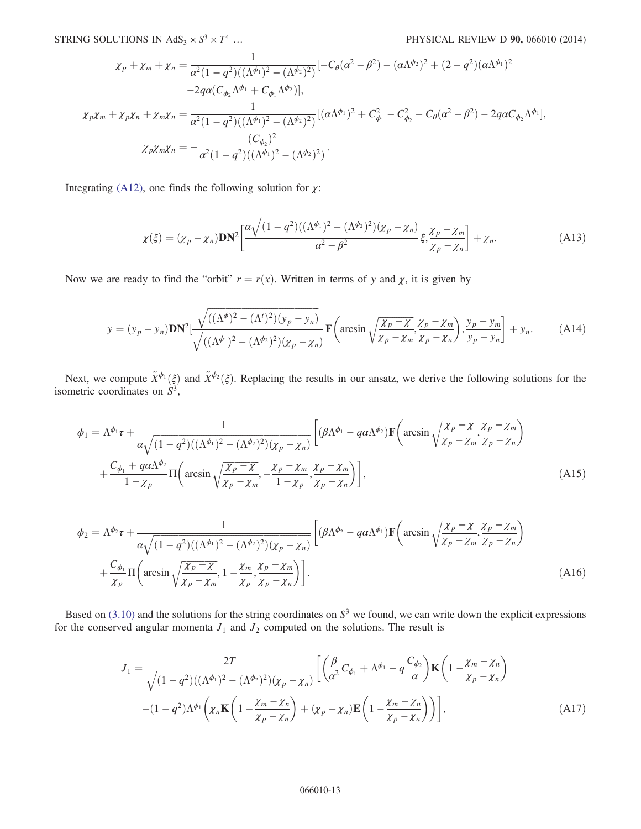$$
\chi_p + \chi_m + \chi_n = \frac{1}{\alpha^2 (1 - q^2)((\Lambda^{\phi_1})^2 - (\Lambda^{\phi_2})^2)} [-C_\theta(\alpha^2 - \beta^2) - (\alpha \Lambda^{\phi_2})^2 + (2 - q^2)(\alpha \Lambda^{\phi_1})^2
$$
  
\n
$$
-2qa(C_{\phi_2}\Lambda^{\phi_1} + C_{\phi_1}\Lambda^{\phi_2})],
$$
  
\n
$$
\chi_p \chi_m + \chi_p \chi_n + \chi_m \chi_n = \frac{1}{\alpha^2 (1 - q^2)((\Lambda^{\phi_1})^2 - (\Lambda^{\phi_2})^2)} [(\alpha \Lambda^{\phi_1})^2 + C_{\phi_1}^2 - C_{\phi_2}^2 - C_\theta(\alpha^2 - \beta^2) - 2qaC_{\phi_2}\Lambda^{\phi_1}],
$$
  
\n
$$
\chi_p \chi_m \chi_n = -\frac{(C_{\phi_2})^2}{\alpha^2 (1 - q^2)((\Lambda^{\phi_1})^2 - (\Lambda^{\phi_2})^2)}.
$$

Integrating [\(A12\)](#page-11-1), one finds the following solution for  $\chi$ :

$$
\chi(\xi) = (\chi_p - \chi_n) \mathbf{DN}^2 \left[ \frac{\alpha \sqrt{(1 - q^2)((\Lambda^{\phi_1})^2 - (\Lambda^{\phi_2})^2)(\chi_p - \chi_n)}}{\alpha^2 - \beta^2} \xi, \frac{\chi_p - \chi_m}{\chi_p - \chi_n} \right] + \chi_n.
$$
 (A13)

Now we are ready to find the "orbit"  $r = r(x)$ . Written in terms of y and x, it is given by

$$
y = (y_p - y_n)\mathbf{DN}^2 \left[ \frac{\sqrt{((\Lambda^\phi)^2 - (\Lambda^\prime)^2)(y_p - y_n)}}{\sqrt{((\Lambda^{\phi_1})^2 - (\Lambda^{\phi_2})^2)(\chi_p - \chi_n)}} \mathbf{F}\left(\arcsin\sqrt{\frac{\chi_p - \chi}{\chi_p - \chi_m}}, \frac{\chi_p - \chi_m}{\chi_p - \chi_n}\right), \frac{y_p - y_m}{y_p - y_n} \right] + y_n. \tag{A14}
$$

Next, we compute  $\tilde{X}^{\phi_1}(\xi)$  and  $\tilde{X}^{\phi_2}(\xi)$ . Replacing the results in our ansatz, we derive the following solutions for the isometric coordinates on  $S^3$ ,

$$
\phi_1 = \Lambda^{\phi_1} \tau + \frac{1}{\alpha \sqrt{(1 - q^2)((\Lambda^{\phi_1})^2 - (\Lambda^{\phi_2})^2)(\chi_p - \chi_n)}} \left[ (\beta \Lambda^{\phi_1} - q \alpha \Lambda^{\phi_2}) \mathbf{F} \left( \arcsin \sqrt{\frac{\chi_p - \chi}{\chi_p - \chi_m}}, \frac{\chi_p - \chi_m}{\chi_p - \chi_n} \right) \right]
$$
\n
$$
+ \frac{C_{\phi_1} + q \alpha \Lambda^{\phi_2}}{1 - \chi_p} \Pi \left( \arcsin \sqrt{\frac{\chi_p - \chi}{\chi_p - \chi_m}}, -\frac{\chi_p - \chi_m}{1 - \chi_p}, \frac{\chi_p - \chi_m}{\chi_p - \chi_n} \right) \right],
$$
\n(A15)

$$
\phi_2 = \Lambda^{\phi_2} \tau + \frac{1}{\alpha \sqrt{(1 - q^2)((\Lambda^{\phi_1})^2 - (\Lambda^{\phi_2})^2)(\chi_p - \chi_n)}} \left[ (\beta \Lambda^{\phi_2} - q \alpha \Lambda^{\phi_1}) \mathbf{F} \left( \arcsin \sqrt{\frac{\chi_p - \chi}{\chi_p - \chi_m}}, \frac{\chi_p - \chi_m}{\chi_p - \chi_n} \right) + \frac{C_{\phi_1}}{\chi_p} \Pi \left( \arcsin \sqrt{\frac{\chi_p - \chi}{\chi_p - \chi_m}}, 1 - \frac{\chi_m}{\chi_p}, \frac{\chi_p - \chi_m}{\chi_p - \chi_n} \right) \right].
$$
\n(A16)

Based on  $(3.10)$  and the solutions for the string coordinates on  $S<sup>3</sup>$  we found, we can write down the explicit expressions for the conserved angular momenta  $J_1$  and  $J_2$  computed on the solutions. The result is

$$
J_1 = \frac{2T}{\sqrt{(1-q^2)((\Lambda^{\phi_1})^2 - (\Lambda^{\phi_2})^2)(\chi_p - \chi_n)}} \left[ \left( \frac{\beta}{\alpha^2} C_{\phi_1} + \Lambda^{\phi_1} - q \frac{C_{\phi_2}}{\alpha} \right) \mathbf{K} \left( 1 - \frac{\chi_m - \chi_n}{\chi_p - \chi_n} \right) - (1-q^2)\Lambda^{\phi_1} \left( \chi_n \mathbf{K} \left( 1 - \frac{\chi_m - \chi_n}{\chi_p - \chi_n} \right) + (\chi_p - \chi_n) \mathbf{E} \left( 1 - \frac{\chi_m - \chi_n}{\chi_p - \chi_n} \right) \right) \right],
$$
\n(A17)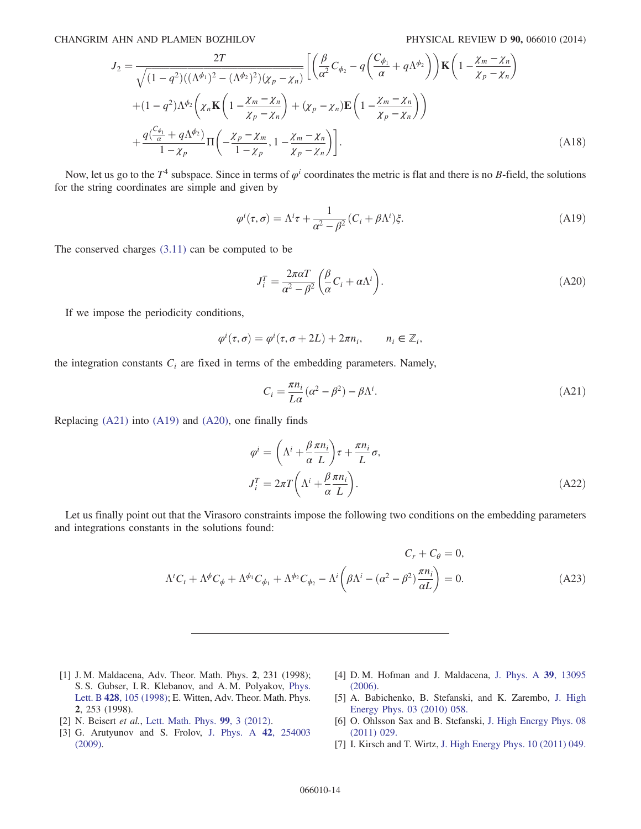$$
J_2 = \frac{2T}{\sqrt{(1-q^2)((\Lambda^{\phi_1})^2 - (\Lambda^{\phi_2})^2)(\chi_p - \chi_n)}} \left[ \left( \frac{\beta}{\alpha^2} C_{\phi_2} - q \left( \frac{C_{\phi_1}}{\alpha} + q \Lambda^{\phi_2} \right) \right) \mathbf{K} \left( 1 - \frac{\chi_m - \chi_n}{\chi_p - \chi_n} \right) \right]
$$
  
+ 
$$
(1-q^2)\Lambda^{\phi_2} \left( \chi_n \mathbf{K} \left( 1 - \frac{\chi_m - \chi_n}{\chi_p - \chi_n} \right) + (\chi_p - \chi_n) \mathbf{E} \left( 1 - \frac{\chi_m - \chi_n}{\chi_p - \chi_n} \right) \right)
$$
  
+ 
$$
\frac{q(\frac{C_{\phi_1}}{\alpha} + q \Lambda^{\phi_2})}{1 - \chi_p} \Pi \left( -\frac{\chi_p - \chi_m}{1 - \chi_p}, 1 - \frac{\chi_m - \chi_n}{\chi_p - \chi_n} \right) \right].
$$
(A18)

<span id="page-13-6"></span>Now, let us go to the  $T^4$  subspace. Since in terms of  $\varphi^i$  coordinates the metric is flat and there is no B-field, the solutions for the string coordinates are simple and given by

$$
\varphi^i(\tau,\sigma) = \Lambda^i \tau + \frac{1}{\alpha^2 - \beta^2} (C_i + \beta \Lambda^i) \xi.
$$
 (A19)

<span id="page-13-7"></span>The conserved charges [\(3.11\)](#page-4-5) can be computed to be

$$
J_i^T = \frac{2\pi\alpha T}{\alpha^2 - \beta^2} \left(\frac{\beta}{\alpha} C_i + \alpha \Lambda^i\right). \tag{A20}
$$

If we impose the periodicity conditions,

$$
\varphi^i(\tau,\sigma) = \varphi^i(\tau,\sigma + 2L) + 2\pi n_i, \qquad n_i \in \mathbb{Z}_i,
$$

<span id="page-13-5"></span>the integration constants  $C_i$  are fixed in terms of the embedding parameters. Namely,

$$
C_i = \frac{\pi n_i}{L\alpha} (\alpha^2 - \beta^2) - \beta \Lambda^i.
$$
 (A21)

Replacing [\(A21\)](#page-13-5) into [\(A19\)](#page-13-6) and [\(A20\)](#page-13-7), one finally finds

$$
\varphi^{i} = \left(\Lambda^{i} + \frac{\beta \pi n_{i}}{\alpha L}\right)\tau + \frac{\pi n_{i}}{L}\sigma,
$$
  

$$
J_{i}^{T} = 2\pi T \left(\Lambda^{i} + \frac{\beta \pi n_{i}}{\alpha L}\right).
$$
 (A22)

Let us finally point out that the Virasoro constraints impose the following two conditions on the embedding parameters and integrations constants in the solutions found:

$$
C_r + C_\theta = 0,
$$
  
\n
$$
\Lambda^t C_t + \Lambda^\phi C_\phi + \Lambda^{\phi_1} C_{\phi_1} + \Lambda^{\phi_2} C_{\phi_2} - \Lambda^i \left( \beta \Lambda^i - (\alpha^2 - \beta^2) \frac{\pi n_i}{\alpha L} \right) = 0.
$$
\n(A23)

- <span id="page-13-0"></span>[1] J. M. Maldacena, Adv. Theor. Math. Phys. 2, 231 (1998); S. S. Gubser, I. R. Klebanov, and A. M. Polyakov, [Phys.](http://dx.doi.org/10.1016/S0370-2693(98)00377-3) Lett. B 428[, 105 \(1998\)](http://dx.doi.org/10.1016/S0370-2693(98)00377-3); E. Witten, Adv. Theor. Math. Phys. 2, 253 (1998).
- <span id="page-13-1"></span>[2] N. Beisert et al., [Lett. Math. Phys.](http://dx.doi.org/10.1007/s11005-011-0529-2) 99, 3 (2012).
- <span id="page-13-2"></span>[3] G. Arutyunov and S. Frolov, [J. Phys. A](http://dx.doi.org/10.1088/1751-8113/42/25/254003) 42, 254003 [\(2009\).](http://dx.doi.org/10.1088/1751-8113/42/25/254003)
- <span id="page-13-3"></span>[4] D. M. Hofman and J. Maldacena, [J. Phys. A](http://dx.doi.org/10.1088/0305-4470/39/41/S17) 39, 13095 [\(2006\).](http://dx.doi.org/10.1088/0305-4470/39/41/S17)
- <span id="page-13-4"></span>[5] A. Babichenko, B. Stefanski, and K. Zarembo, [J. High](http://dx.doi.org/10.1007/JHEP03(2010)058) [Energy Phys. 03 \(2010\) 058.](http://dx.doi.org/10.1007/JHEP03(2010)058)
- [6] O. Ohlsson Sax and B. Stefanski, [J. High Energy Phys. 08](http://dx.doi.org/10.1007/JHEP08(2011)029) [\(2011\) 029.](http://dx.doi.org/10.1007/JHEP08(2011)029)
- [7] I. Kirsch and T. Wirtz, [J. High Energy Phys. 10 \(2011\) 049.](http://dx.doi.org/10.1007/JHEP10(2011)049)